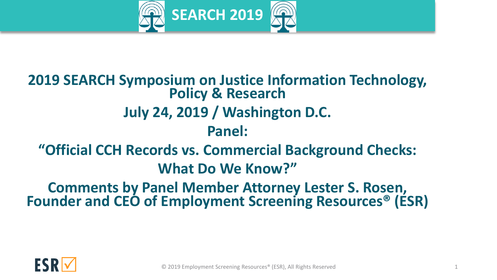

# **2019 SEARCH Symposium on Justice Information Technology, Policy & Research July 24, 2019 / Washington D.C. Panel: "Official CCH Records vs. Commercial Background Checks: What Do We Know?" Comments by Panel Member Attorney Lester S. Rosen,**

**Founder and CEO of Employment Screening Resources® (ESR)**

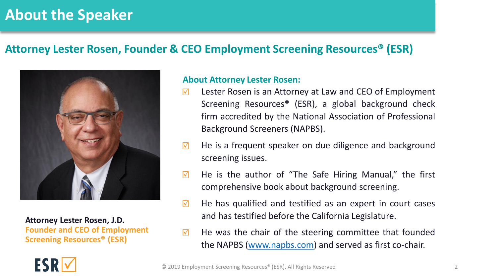# **About the Speaker**

#### **Attorney Lester Rosen, Founder & CEO Employment Screening Resources® (ESR)**



**Attorney Lester Rosen, J.D. Founder and CEO of Employment Screening Resources® (ESR)**

#### **About Attorney Lester Rosen:**

- $\triangledown$ Lester Rosen is an Attorney at Law and CEO of Employment Screening Resources® (ESR), a global background check firm accredited by the National Association of Professional Background Screeners (NAPBS).
- $\triangledown$ He is a frequent speaker on due diligence and background screening issues.
- $\triangledown$ He is the author of "The Safe Hiring Manual," the first comprehensive book about background screening.
- He has qualified and testified as an expert in court cases  $\triangledown$ and has testified before the California Legislature.
- He was the chair of the steering committee that founded  $\triangledown$ the NAPBS ([www.napbs.com\)](http://www.napbs.com/) and served as first co-chair.

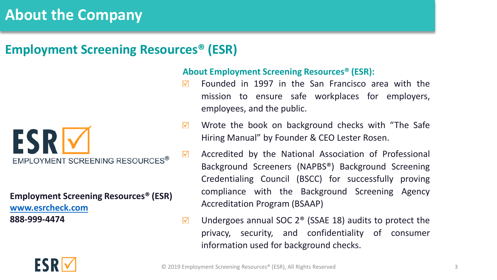# **About the Company**

#### **Employment Screening Resources® (ESR)**



**Employment Screening Resources® (ESR) [www.esrcheck.com](http://www.esrcheck.com/)  888-999-4474**

#### **About Employment Screening Resources® (ESR):**

- Founded in 1997 in the San Francisco area with the  $\triangledown$ mission to ensure safe workplaces for employers, employees, and the public.
- Wrote the book on background checks with "The Safe  $\triangledown$ Hiring Manual" by Founder & CEO Lester Rosen.
- Accredited by the National Association of Professional  $\triangledown$ Background Screeners (NAPBS®) Background Screening Credentialing Council (BSCC) for successfully proving compliance with the Background Screening Agency Accreditation Program (BSAAP)
- Undergoes annual SOC 2® (SSAE 18) audits to protect the  $\triangledown$ privacy, security, and confidentiality of consumer information used for background checks.

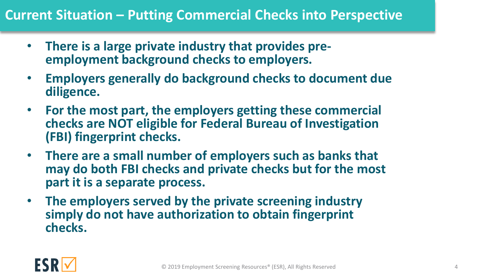#### **Current Situation – Putting Commercial Checks into Perspective**

- **There is a large private industry that provides preemployment background checks to employers.**
- **Employers generally do background checks to document due diligence.**
- **For the most part, the employers getting these commercial checks are NOT eligible for Federal Bureau of Investigation (FBI) fingerprint checks.**
- **There are a small number of employers such as banks that may do both FBI checks and private checks but for the most part it is a separate process.**
- **The employers served by the private screening industry simply do not have authorization to obtain fingerprint checks.**

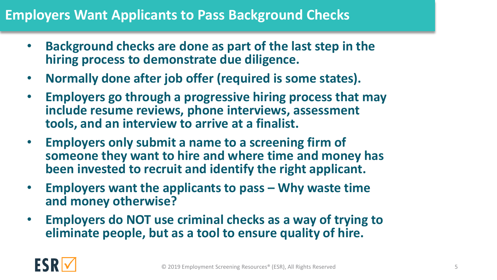#### **Employers Want Applicants to Pass Background Checks**

- **Background checks are done as part of the last step in the hiring process to demonstrate due diligence.**
- **Normally done after job offer (required is some states).**
- **Employers go through a progressive hiring process that may include resume reviews, phone interviews, assessment tools, and an interview to arrive at a finalist.**
- **Employers only submit a name to a screening firm of someone they want to hire and where time and money has been invested to recruit and identify the right applicant.**
- **Employers want the applicants to pass – Why waste time and money otherwise?**
- **Employers do NOT use criminal checks as a way of trying to eliminate people, but as a tool to ensure quality of hire.**

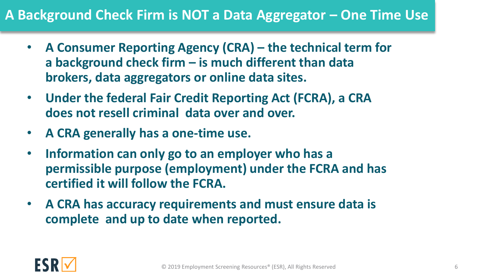## **A Background Check Firm is NOT a Data Aggregator – One Time Use**

- **A Consumer Reporting Agency (CRA) – the technical term for a background check firm – is much different than data brokers, data aggregators or online data sites.**
- **Under the federal Fair Credit Reporting Act (FCRA), a CRA does not resell criminal data over and over.**
- **A CRA generally has a one-time use.**
- **Information can only go to an employer who has a permissible purpose (employment) under the FCRA and has certified it will follow the FCRA.**
- **A CRA has accuracy requirements and must ensure data is complete and up to date when reported.**

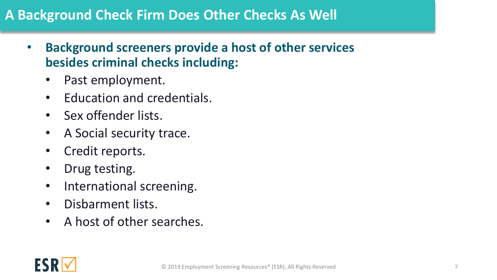## **A Background Check Firm Does Other Checks As Well**

- **Background screeners provide a host of other services besides criminal checks including:**
	- Past employment.
	- Education and credentials.
	- Sex offender lists.
	- A Social security trace.
	- Credit reports.
	- Drug testing.
	- International screening.
	- Disbarment lists.
	- A host of other searches.

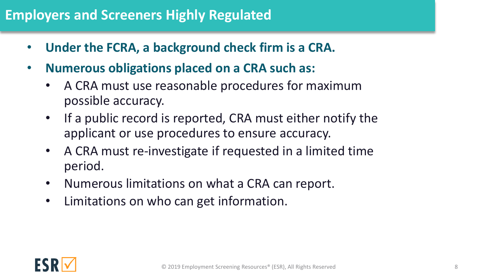# **Employers and Screeners Highly Regulated**

- **Under the FCRA, a background check firm is a CRA.**
- **Numerous obligations placed on a CRA such as:**
	- A CRA must use reasonable procedures for maximum possible accuracy.
	- If a public record is reported, CRA must either notify the applicant or use procedures to ensure accuracy.
	- A CRA must re-investigate if requested in a limited time period.
	- Numerous limitations on what a CRA can report.
	- Limitations on who can get information.

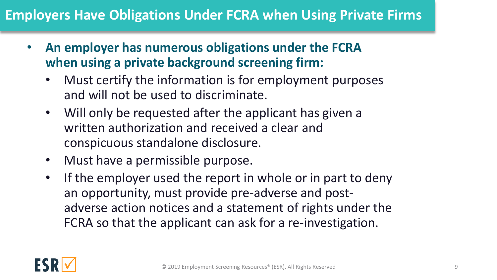## **Employers Have Obligations Under FCRA when Using Private Firms**

- **An employer has numerous obligations under the FCRA when using a private background screening firm:**
	- Must certify the information is for employment purposes and will not be used to discriminate.
	- Will only be requested after the applicant has given a written authorization and received a clear and conspicuous standalone disclosure.
	- Must have a permissible purpose.
	- If the employer used the report in whole or in part to deny an opportunity, must provide pre-adverse and postadverse action notices and a statement of rights under the FCRA so that the applicant can ask for a re-investigation.

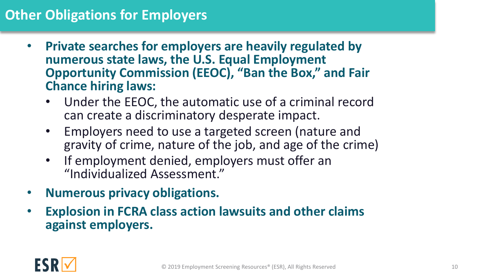## **Other Obligations for Employers**

- **Private searches for employers are heavily regulated by numerous state laws, the U.S. Equal Employment Opportunity Commission (EEOC), "Ban the Box," and Fair Chance hiring laws:**
	- Under the EEOC, the automatic use of a criminal record can create a discriminatory desperate impact.
	- Employers need to use a targeted screen (nature and gravity of crime, nature of the job, and age of the crime)
	- If employment denied, employers must offer an "Individualized Assessment."
- **Numerous privacy obligations.**
- **Explosion in FCRA class action lawsuits and other claims against employers.**

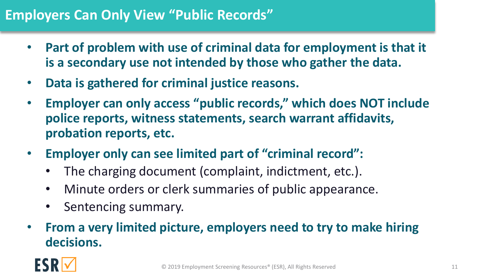#### **Employers Can Only View "Public Records"**

- **Part of problem with use of criminal data for employment is that it is a secondary use not intended by those who gather the data.**
- **Data is gathered for criminal justice reasons.**
- **Employer can only access "public records," which does NOT include police reports, witness statements, search warrant affidavits, probation reports, etc.**
- **Employer only can see limited part of "criminal record":**
	- The charging document (complaint, indictment, etc.).
	- Minute orders or clerk summaries of public appearance.
	- Sentencing summary.
- **From a very limited picture, employers need to try to make hiring decisions.**

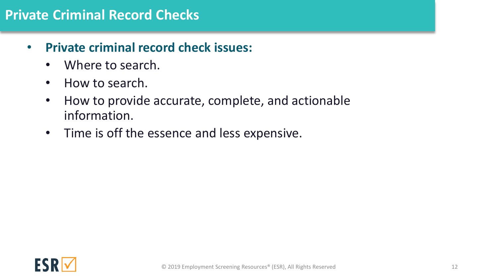#### **Private Criminal Record Checks**

- **Private criminal record check issues:**
	- Where to search.
	- How to search.
	- How to provide accurate, complete, and actionable information.
	- Time is off the essence and less expensive.

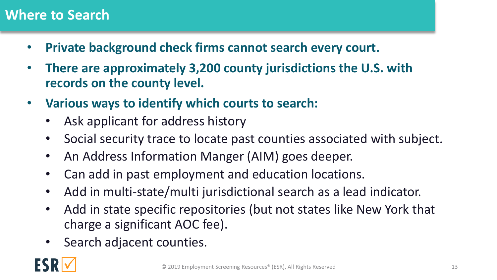#### **Where to Search**

- **Private background check firms cannot search every court.**
- **There are approximately 3,200 county jurisdictions the U.S. with records on the county level.**
- **Various ways to identify which courts to search:**
	- Ask applicant for address history
	- Social security trace to locate past counties associated with subject.
	- An Address Information Manger (AIM) goes deeper.
	- Can add in past employment and education locations.
	- Add in multi-state/multi jurisdictional search as a lead indicator.
	- Add in state specific repositories (but not states like New York that charge a significant AOC fee).
	- Search adjacent counties.

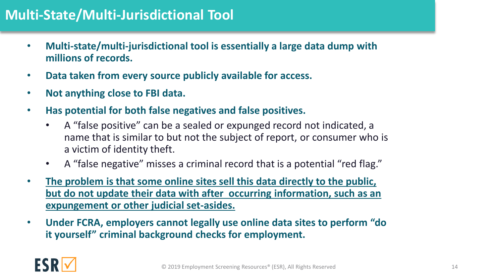## **Multi-State/Multi-Jurisdictional Tool**

- **Multi-state/multi-jurisdictional tool is essentially a large data dump with millions of records.**
- **Data taken from every source publicly available for access.**
- **Not anything close to FBI data.**
- **Has potential for both false negatives and false positives.**
	- A "false positive" can be a sealed or expunged record not indicated, a name that is similar to but not the subject of report, or consumer who is a victim of identity theft.
	- A "false negative" misses a criminal record that is a potential "red flag."
- **The problem is that some online sites sell this data directly to the public, but do not update their data with after occurring information, such as an expungement or other judicial set-asides.**
- **Under FCRA, employers cannot legally use online data sites to perform "do it yourself" criminal background checks for employment.**

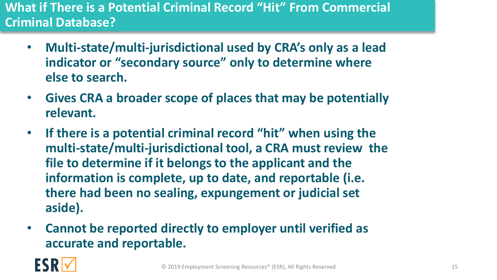#### **What if There is a Potential Criminal Record "Hit" From Commercial Criminal Database?**

- **Multi-state/multi-jurisdictional used by CRA's only as a lead indicator or "secondary source" only to determine where else to search.**
- **Gives CRA a broader scope of places that may be potentially relevant.**
- **If there is a potential criminal record "hit" when using the multi-state/multi-jurisdictional tool, a CRA must review the file to determine if it belongs to the applicant and the information is complete, up to date, and reportable (i.e. there had been no sealing, expungement or judicial set aside).**
- **Cannot be reported directly to employer until verified as accurate and reportable.**

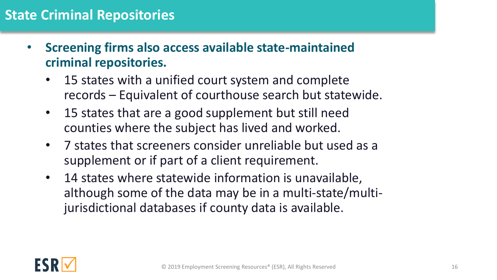#### **State Criminal Repositories**

- **Screening firms also access available state-maintained criminal repositories.**
	- 15 states with a unified court system and complete records – Equivalent of courthouse search but statewide.
	- 15 states that are a good supplement but still need counties where the subject has lived and worked.
	- 7 states that screeners consider unreliable but used as a supplement or if part of a client requirement.
	- 14 states where statewide information is unavailable, although some of the data may be in a multi-state/multijurisdictional databases if county data is available.

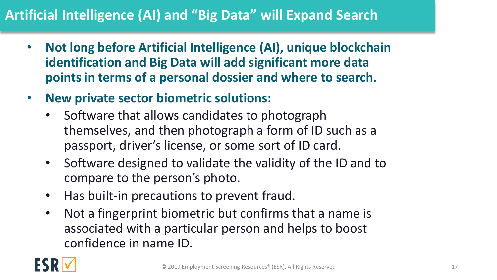# **Artificial Intelligence (AI) and "Big Data" will Expand Search**

- **Not long before Artificial Intelligence (AI), unique blockchain identification and Big Data will add significant more data points in terms of a personal dossier and where to search.**
- **New private sector biometric solutions:**
	- Software that allows candidates to photograph themselves, and then photograph a form of ID such as a passport, driver's license, or some sort of ID card.
	- Software designed to validate the validity of the ID and to compare to the person's photo.
	- Has built-in precautions to prevent fraud.
	- Not a fingerprint biometric but confirms that a name is associated with a particular person and helps to boost confidence in name ID.

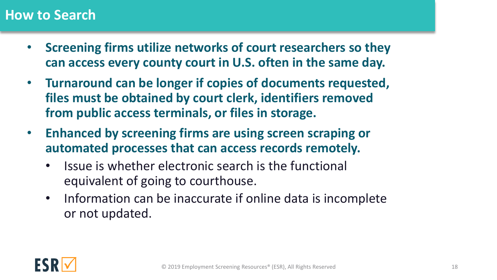#### **How to Search**

- **Screening firms utilize networks of court researchers so they can access every county court in U.S. often in the same day.**
- **Turnaround can be longer if copies of documents requested, files must be obtained by court clerk, identifiers removed from public access terminals, or files in storage.**
- **Enhanced by screening firms are using screen scraping or automated processes that can access records remotely.** 
	- Issue is whether electronic search is the functional equivalent of going to courthouse.
	- Information can be inaccurate if online data is incomplete or not updated.

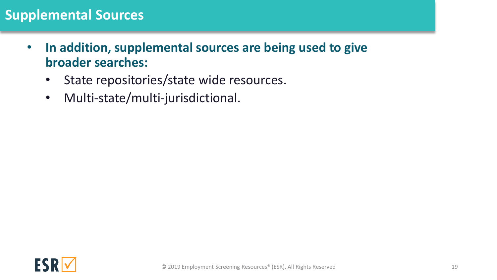#### **Supplemental Sources**

- **In addition, supplemental sources are being used to give broader searches:** 
	- State repositories/state wide resources.
	- Multi-state/multi-jurisdictional.

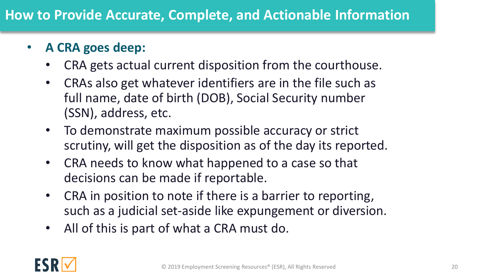## • **A CRA goes deep:**

- CRA gets actual current disposition from the courthouse.
- CRAs also get whatever identifiers are in the file such as full name, date of birth (DOB), Social Security number (SSN), address, etc.
- To demonstrate maximum possible accuracy or strict scrutiny, will get the disposition as of the day its reported.
- CRA needs to know what happened to a case so that decisions can be made if reportable.
- CRA in position to note if there is a barrier to reporting, such as a judicial set-aside like expungement or diversion.
- All of this is part of what a CRA must do.

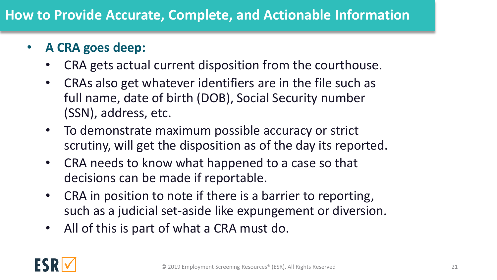## • **A CRA goes deep:**

- CRA gets actual current disposition from the courthouse.
- CRAs also get whatever identifiers are in the file such as full name, date of birth (DOB), Social Security number (SSN), address, etc.
- To demonstrate maximum possible accuracy or strict scrutiny, will get the disposition as of the day its reported.
- CRA needs to know what happened to a case so that decisions can be made if reportable.
- CRA in position to note if there is a barrier to reporting, such as a judicial set-aside like expungement or diversion.
- All of this is part of what a CRA must do.

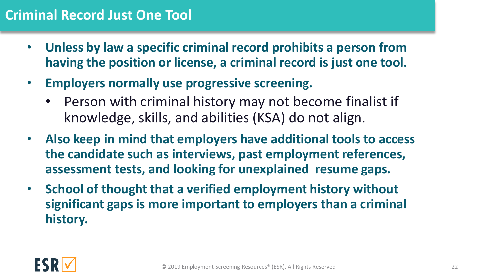#### **Criminal Record Just One Tool**

- **Unless by law a specific criminal record prohibits a person from having the position or license, a criminal record is just one tool.**
- **Employers normally use progressive screening.**
	- Person with criminal history may not become finalist if knowledge, skills, and abilities (KSA) do not align.
- **Also keep in mind that employers have additional tools to access the candidate such as interviews, past employment references, assessment tests, and looking for unexplained resume gaps.**
- **School of thought that a verified employment history without significant gaps is more important to employers than a criminal history.**

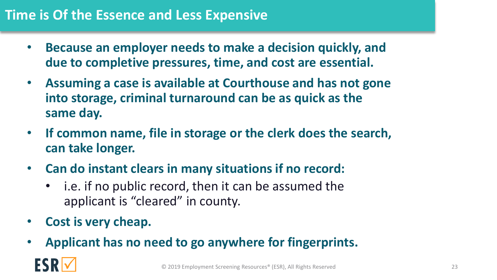#### **Time is Of the Essence and Less Expensive**

- **Because an employer needs to make a decision quickly, and due to completive pressures, time, and cost are essential.**
- **Assuming a case is available at Courthouse and has not gone into storage, criminal turnaround can be as quick as the same day.**
- **If common name, file in storage or the clerk does the search, can take longer.**
- **Can do instant clears in many situations if no record:**
	- i.e. if no public record, then it can be assumed the applicant is "cleared" in county.
- **Cost is very cheap.**
- **Applicant has no need to go anywhere for fingerprints.**

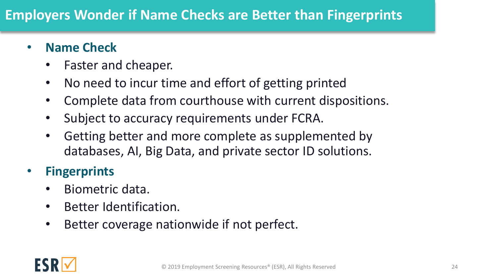# **Employers Wonder if Name Checks are Better than Fingerprints**

#### • **Name Check**

- Faster and cheaper.
- No need to incur time and effort of getting printed
- Complete data from courthouse with current dispositions.
- Subject to accuracy requirements under FCRA.
- Getting better and more complete as supplemented by databases, AI, Big Data, and private sector ID solutions.

### • **Fingerprints**

- Biometric data.
- Better Identification.
- Better coverage nationwide if not perfect.

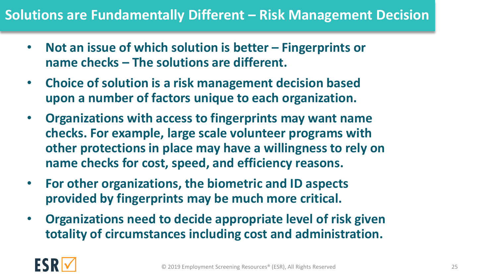#### **Solutions are Fundamentally Different – Risk Management Decision**

- **Not an issue of which solution is better – Fingerprints or name checks – The solutions are different.**
- **Choice of solution is a risk management decision based upon a number of factors unique to each organization.**
- **Organizations with access to fingerprints may want name checks. For example, large scale volunteer programs with other protections in place may have a willingness to rely on name checks for cost, speed, and efficiency reasons.**
- **For other organizations, the biometric and ID aspects provided by fingerprints may be much more critical.**
- **Organizations need to decide appropriate level of risk given totality of circumstances including cost and administration.**

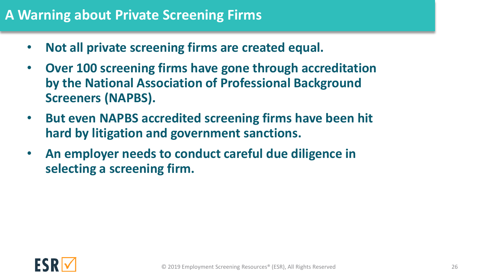#### **A Warning about Private Screening Firms**

- **Not all private screening firms are created equal.**
- **Over 100 screening firms have gone through accreditation by the National Association of Professional Background Screeners (NAPBS).**
- **But even NAPBS accredited screening firms have been hit hard by litigation and government sanctions.**
- **An employer needs to conduct careful due diligence in selecting a screening firm.**

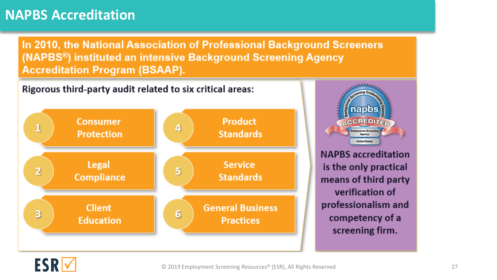#### **NAPBS Accreditation**

In 2010, the National Association of Professional Background Screeners (NAPBS<sup>®</sup>) instituted an intensive Background Screening Agency **Accreditation Program (BSAAP).** 



napbs **ACCREDITISM Employment Screening United State NAPBS** accreditation

is the only practical means of third party verification of professionalism and competency of a screening firm.

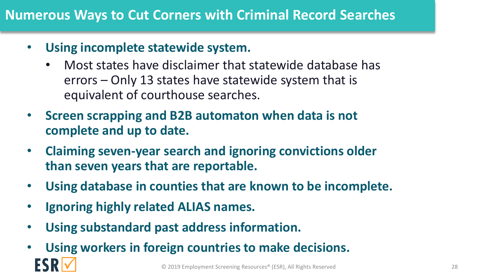#### **Numerous Ways to Cut Corners with Criminal Record Searches**

- **Using incomplete statewide system.**
	- Most states have disclaimer that statewide database has errors – Only 13 states have statewide system that is equivalent of courthouse searches.
- **Screen scrapping and B2B automaton when data is not complete and up to date.**
- **Claiming seven-year search and ignoring convictions older than seven years that are reportable.**
- **Using database in counties that are known to be incomplete.**
- **Ignoring highly related ALIAS names.**
- **Using substandard past address information.**
- **Using workers in foreign countries to make decisions.** © 2019 Employment Screening Resources® (ESR), All Rights Reserved 28